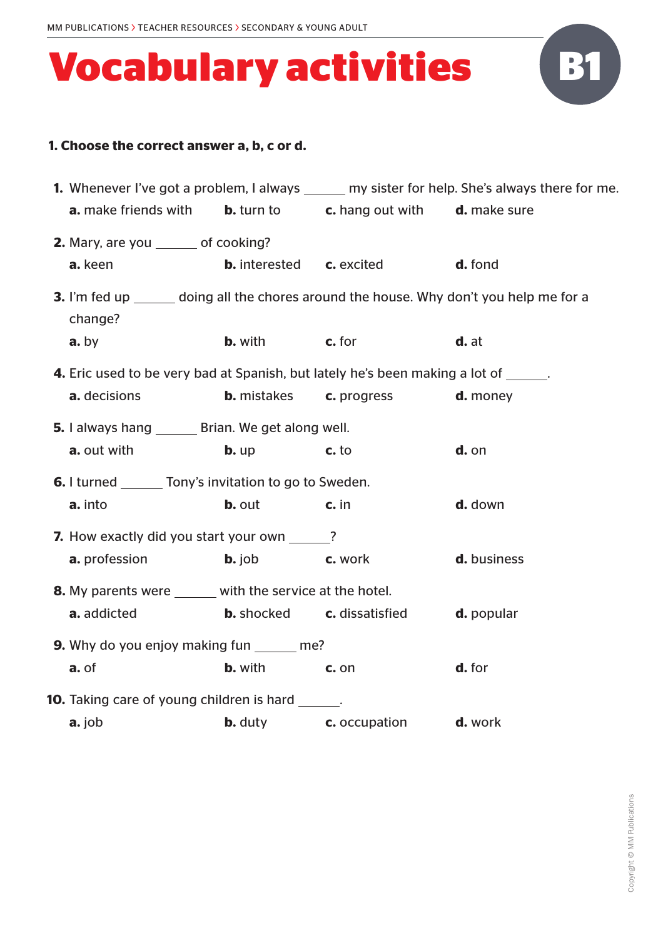

| <b>1.</b> Whenever I've got a problem, I always ______ my sister for help. She's always there for me. |                                                                |                                                               |                                                                                                 |  |  |  |
|-------------------------------------------------------------------------------------------------------|----------------------------------------------------------------|---------------------------------------------------------------|-------------------------------------------------------------------------------------------------|--|--|--|
| <b>a.</b> make friends with                                                                           |                                                                | <b>b.</b> turn to <b>c.</b> hang out with <b>d.</b> make sure |                                                                                                 |  |  |  |
| <b>2.</b> Mary, are you _______ of cooking?                                                           |                                                                |                                                               |                                                                                                 |  |  |  |
| a. keen                                                                                               | <b>b.</b> interested <b>c.</b> excited                         |                                                               | d. fond                                                                                         |  |  |  |
| change?                                                                                               |                                                                |                                                               | <b>3.</b> I'm fed up _______ doing all the chores around the house. Why don't you help me for a |  |  |  |
| a. by                                                                                                 | <b>b.</b> with <b>c.</b> for                                   |                                                               | d. at                                                                                           |  |  |  |
| 4. Eric used to be very bad at Spanish, but lately he's been making a lot of ______.                  |                                                                |                                                               |                                                                                                 |  |  |  |
| a. decisions                                                                                          |                                                                | <b>b.</b> mistakes <b>c.</b> progress                         | <b>d.</b> money                                                                                 |  |  |  |
| 5. I always hang _______ Brian. We get along well.                                                    |                                                                |                                                               |                                                                                                 |  |  |  |
| a. out with                                                                                           | $b. up$                                                        | $c.$ to                                                       | $d.$ on                                                                                         |  |  |  |
|                                                                                                       | <b>6.</b> I turned ________ Tony's invitation to go to Sweden. |                                                               |                                                                                                 |  |  |  |
| a. into                                                                                               | <b>b.</b> out                                                  | $\mathbf{c}$ . in                                             | d. down                                                                                         |  |  |  |
|                                                                                                       | 7. How exactly did you start your own ______?                  |                                                               |                                                                                                 |  |  |  |
| <b>a.</b> profession                                                                                  | <b>b.</b> job <b>c.</b> work                                   |                                                               | d. business                                                                                     |  |  |  |
| 8. My parents were ______ with the service at the hotel.                                              |                                                                |                                                               |                                                                                                 |  |  |  |
| a. addicted                                                                                           |                                                                | <b>b.</b> shocked <b>c.</b> dissatisfied                      | d. popular                                                                                      |  |  |  |
|                                                                                                       | <b>9.</b> Why do you enjoy making fun _______ me?              |                                                               |                                                                                                 |  |  |  |
| a. of                                                                                                 | <b>b.</b> with                                                 | c. on                                                         | d. for                                                                                          |  |  |  |
| <b>10.</b> Taking care of young children is hard _______.                                             |                                                                |                                                               |                                                                                                 |  |  |  |
| $a.$ job                                                                                              | <b>b.</b> duty                                                 | c. occupation                                                 | d. work                                                                                         |  |  |  |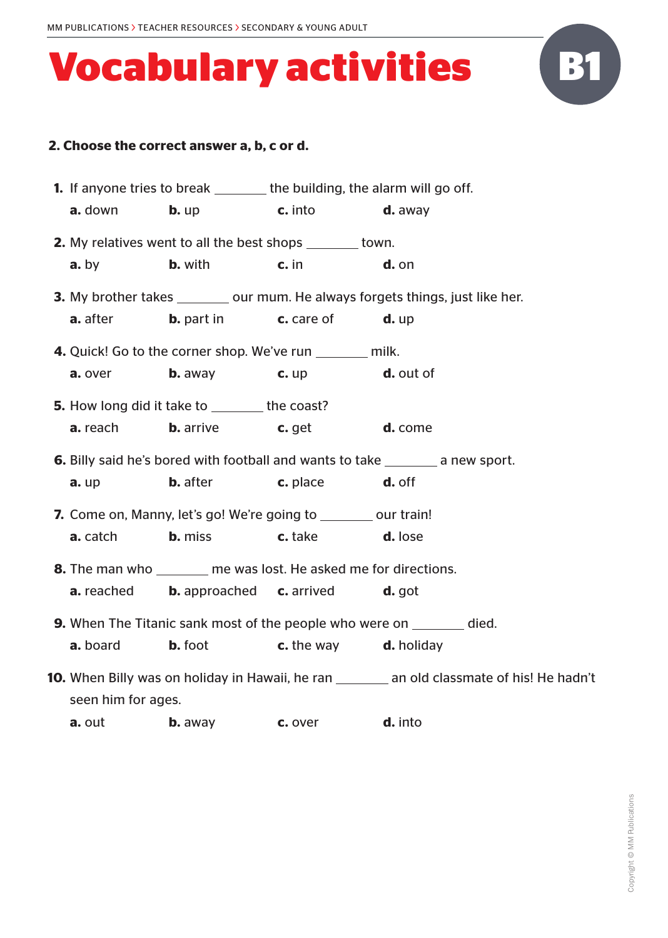

| 1. If anyone tries to break _______ the building, the alarm will go off. |                                                                            |         |                                                                                                    |
|--------------------------------------------------------------------------|----------------------------------------------------------------------------|---------|----------------------------------------------------------------------------------------------------|
| a. down                                                                  | <b>b.</b> up <b>c.</b> into                                                |         | d. away                                                                                            |
|                                                                          | <b>2.</b> My relatives went to all the best shops _______ town.            |         |                                                                                                    |
| $a.$ by                                                                  | <b>b.</b> with                                                             | $c.$ in | d. on                                                                                              |
|                                                                          |                                                                            |         | <b>3.</b> My brother takes __________ our mum. He always forgets things, just like her.            |
| <b>a.</b> after                                                          | <b>b.</b> part in <b>c.</b> care of                                        |         | $d.$ up                                                                                            |
|                                                                          | 4. Quick! Go to the corner shop. We've run _______ milk.                   |         |                                                                                                    |
| a. over                                                                  | <b>b.</b> away $\qquad \qquad$ <b>c.</b> up                                |         | d. out of                                                                                          |
|                                                                          | <b>5.</b> How long did it take to ________ the coast?                      |         |                                                                                                    |
| <b>a.</b> reach                                                          | <b>b.</b> arrive <b>c.</b> get <b>d.</b> come                              |         |                                                                                                    |
|                                                                          |                                                                            |         | <b>6.</b> Billy said he's bored with football and wants to take ________ a new sport.              |
| $a.$ up                                                                  | <b>b.</b> after <b>c.</b> place                                            |         | d. off                                                                                             |
|                                                                          | <b>7.</b> Come on, Manny, let's go! We're going to sumplement court train! |         |                                                                                                    |
| <b>a.</b> catch                                                          | <b>b.</b> miss                                                             | c. take | d. lose                                                                                            |
|                                                                          | <b>8.</b> The man who me was lost. He asked me for directions.             |         |                                                                                                    |
| a. reached                                                               | <b>b.</b> approached <b>c.</b> arrived                                     |         | $d.$ got                                                                                           |
|                                                                          |                                                                            |         | <b>9.</b> When The Titanic sank most of the people who were on ________ died.                      |
| <b>a.</b> board                                                          | <b>b.</b> foot <b>c.</b> the way <b>d.</b> holiday                         |         |                                                                                                    |
|                                                                          |                                                                            |         | <b>10.</b> When Billy was on holiday in Hawaii, he ran ________ an old classmate of his! He hadn't |
| seen him for ages.                                                       |                                                                            |         |                                                                                                    |
|                                                                          |                                                                            |         |                                                                                                    |

**a.** out **b.** away **c.** over **d.** into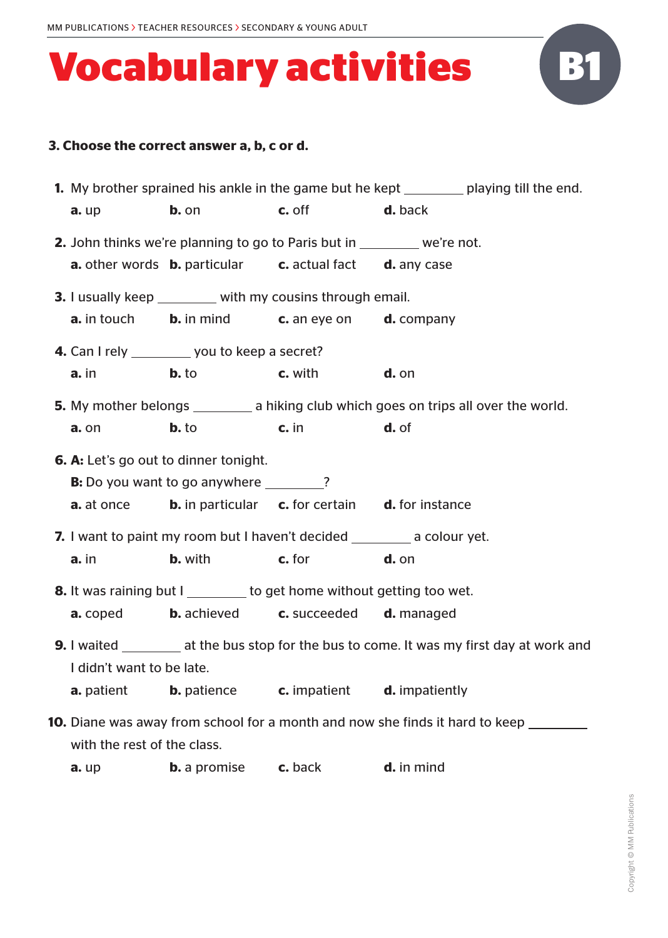| <b>1.</b> My brother sprained his ankle in the game but he kept __________ playing till the end. |                                                                                        |                              |                                                                                                     |  |
|--------------------------------------------------------------------------------------------------|----------------------------------------------------------------------------------------|------------------------------|-----------------------------------------------------------------------------------------------------|--|
| a. up                                                                                            | $b.$ on                                                                                | <b>c.</b> off <b>d.</b> back |                                                                                                     |  |
|                                                                                                  | <b>2.</b> John thinks we're planning to go to Paris but in we're not.                  |                              |                                                                                                     |  |
|                                                                                                  | <b>a.</b> other words <b>b.</b> particular <b>c.</b> actual fact <b>d.</b> any case    |                              |                                                                                                     |  |
|                                                                                                  | <b>3.</b> I usually keep ________ with my cousins through email.                       |                              |                                                                                                     |  |
|                                                                                                  | <b>a.</b> in touch <b>b.</b> in mind <b>c.</b> an eye on <b>d.</b> company             |                              |                                                                                                     |  |
|                                                                                                  | 4. Can I rely __________ you to keep a secret?                                         |                              |                                                                                                     |  |
| $a.$ in                                                                                          | $b.$ to                                                                                | <b>c.</b> with <b>d.</b> on  |                                                                                                     |  |
|                                                                                                  |                                                                                        |                              | 5. My mother belongs ___________ a hiking club which goes on trips all over the world.              |  |
| a. on                                                                                            | $b.$ to                                                                                | $\mathsf{c.}\ \mathsf{in}$   | d. of                                                                                               |  |
|                                                                                                  | <b>6. A:</b> Let's go out to dinner tonight.                                           |                              |                                                                                                     |  |
| <b>B:</b> Do you want to go anywhere ________?                                                   |                                                                                        |                              |                                                                                                     |  |
|                                                                                                  | <b>a.</b> at once <b>b.</b> in particular <b>c.</b> for certain <b>d.</b> for instance |                              |                                                                                                     |  |
| 7. I want to paint my room but I haven't decided __________ a colour yet.                        |                                                                                        |                              |                                                                                                     |  |
| $a.$ in                                                                                          | <b>b.</b> with <b>c.</b> for                                                           |                              | $d.$ on                                                                                             |  |
|                                                                                                  | <b>8.</b> It was raining but I ________ to get home without getting too wet.           |                              |                                                                                                     |  |
|                                                                                                  | <b>a.</b> coped <b>b.</b> achieved <b>c.</b> succeeded <b>d.</b> managed               |                              |                                                                                                     |  |
|                                                                                                  |                                                                                        |                              | <b>9.</b> I waited ___________ at the bus stop for the bus to come. It was my first day at work and |  |
| I didn't want to be late.                                                                        |                                                                                        |                              |                                                                                                     |  |
| a. patient                                                                                       | <b>b.</b> patience                                                                     | c. impatient                 | d. impatiently                                                                                      |  |
|                                                                                                  |                                                                                        |                              | <b>10.</b> Diane was away from school for a month and now she finds it hard to keep _______         |  |
| with the rest of the class.                                                                      |                                                                                        |                              |                                                                                                     |  |
| a. up                                                                                            | <b>b.</b> a promise                                                                    | c. back                      | d. in mind                                                                                          |  |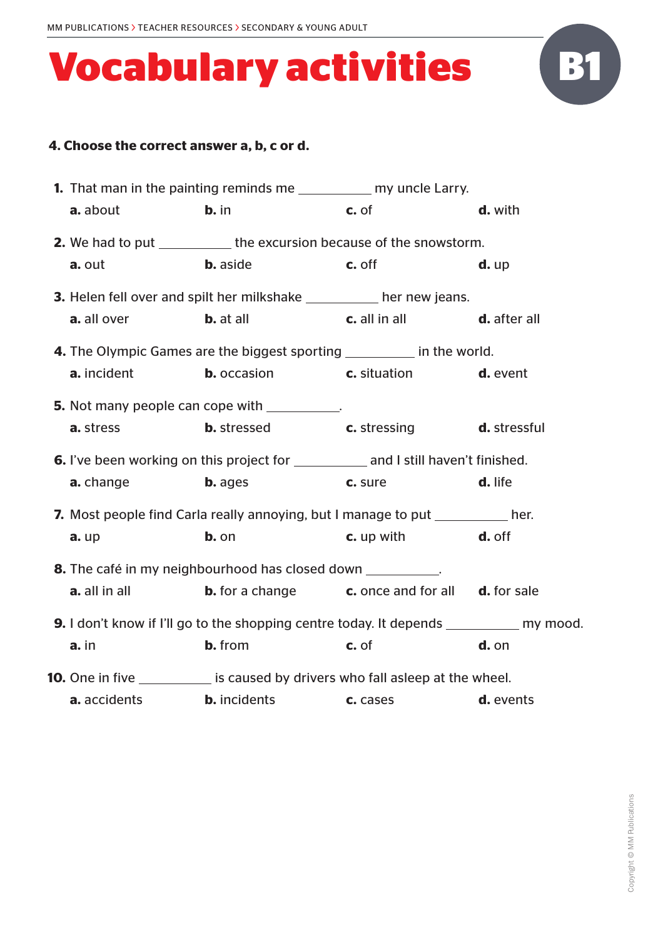

|                                                             | <b>1.</b> That man in the painting reminds me _____________ my uncle Larry.                          |                       |           |  |
|-------------------------------------------------------------|------------------------------------------------------------------------------------------------------|-----------------------|-----------|--|
| a. about                                                    | $b.$ in                                                                                              | c. of                 | d. with   |  |
|                                                             | <b>2.</b> We had to put _____________ the excursion because of the snowstorm.                        |                       |           |  |
| a. out                                                      | <b>b.</b> aside                                                                                      | c. off                | $d.$ up   |  |
|                                                             | <b>3.</b> Helen fell over and spilt her milkshake ___________ her new jeans.                         |                       |           |  |
| <b>a.</b> all over                                          | <b>b.</b> at all <b>c.</b> all in all <b>d.</b> after all                                            |                       |           |  |
|                                                             | 4. The Olympic Games are the biggest sporting ___________ in the world.                              |                       |           |  |
| a. incident                                                 | <b>b.</b> occasion <b>c.</b> situation                                                               |                       | d. event  |  |
|                                                             | <b>5.</b> Not many people can cope with ___________.                                                 |                       |           |  |
| <b>a.</b> stress                                            | <b>b.</b> stressed <b>c.</b> stressing <b>d.</b> stressful                                           |                       |           |  |
|                                                             | <b>6.</b> I've been working on this project for _____________ and I still haven't finished.          |                       |           |  |
| <b>a.</b> change                                            | <b>b.</b> ages                                                                                       | c. sure               | d. life   |  |
|                                                             | <b>7.</b> Most people find Carla really annoying, but I manage to put <b>the contrary lines</b> her. |                       |           |  |
| $a.$ up                                                     | b. on                                                                                                | $\mathbf c$ . up with | d. off    |  |
| 8. The café in my neighbourhood has closed down __________. |                                                                                                      |                       |           |  |
| a. all in all                                               | <b>b.</b> for a change <b>c.</b> once and for all <b>d.</b> for sale                                 |                       |           |  |
|                                                             | <b>9.</b> I don't know if I'll go to the shopping centre today. It depends ___________ my mood.      |                       |           |  |
| a. in                                                       | <b>b.</b> from                                                                                       | c. of                 | d. on     |  |
|                                                             | <b>10.</b> One in five ____________ is caused by drivers who fall asleep at the wheel.               |                       |           |  |
| a. accidents                                                | <b>b.</b> incidents                                                                                  | c. cases              | d. events |  |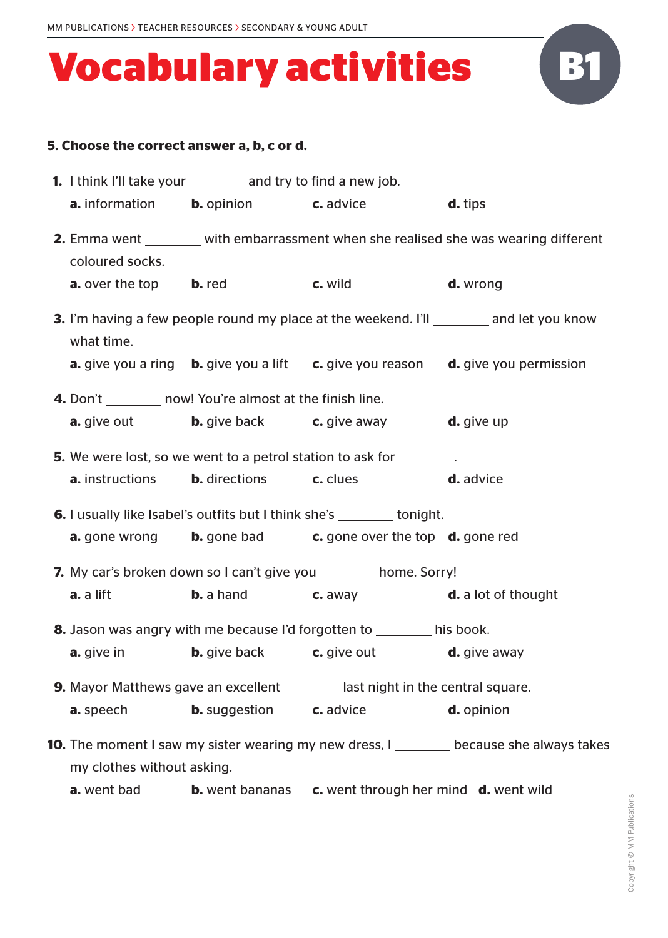

|                                                                              | <b>1.</b> I think I'll take your __________ and try to find a new job. |                                                                                        |                                                                                                             |  |
|------------------------------------------------------------------------------|------------------------------------------------------------------------|----------------------------------------------------------------------------------------|-------------------------------------------------------------------------------------------------------------|--|
|                                                                              |                                                                        | <b>a.</b> information <b>b.</b> opinion <b>c.</b> advice <b>d.</b> tips                |                                                                                                             |  |
| coloured socks.                                                              |                                                                        |                                                                                        | <b>2.</b> Emma went _______ with embarrassment when she realised she was wearing different                  |  |
|                                                                              | <b>a.</b> over the top <b>b.</b> red <b>c.</b> wild                    |                                                                                        | <b>d.</b> wrong                                                                                             |  |
| what time.                                                                   |                                                                        |                                                                                        | <b>3.</b> I'm having a few people round my place at the weekend. I'll _________ and let you know            |  |
|                                                                              |                                                                        |                                                                                        | <b>a.</b> give you a ring <b>b.</b> give you a lift <b>c.</b> give you reason <b>d.</b> give you permission |  |
|                                                                              | <b>4.</b> Don't now! You're almost at the finish line.                 |                                                                                        |                                                                                                             |  |
|                                                                              |                                                                        | <b>a.</b> give out <b>b.</b> give back <b>c.</b> give away <b>d.</b> give up           |                                                                                                             |  |
|                                                                              |                                                                        | <b>5.</b> We were lost, so we went to a petrol station to ask for <u>sequence</u> .    |                                                                                                             |  |
|                                                                              | <b>a.</b> instructions <b>b.</b> directions <b>c.</b> clues            | <b>d.</b> advice                                                                       |                                                                                                             |  |
| <b>6.</b> I usually like Isabel's outfits but I think she's _______ tonight. |                                                                        |                                                                                        |                                                                                                             |  |
|                                                                              |                                                                        | <b>a.</b> gone wrong <b>b.</b> gone bad <b>c.</b> gone over the top <b>d.</b> gone red |                                                                                                             |  |
| <b>7.</b> My car's broken down so I can't give you _________ home. Sorry!    |                                                                        |                                                                                        |                                                                                                             |  |
| a. a lift                                                                    |                                                                        | <b>b.</b> a hand <b>c.</b> away <b>d.</b> a lot of thought                             |                                                                                                             |  |
|                                                                              |                                                                        | 8. Jason was angry with me because I'd forgotten to _______ his book.                  |                                                                                                             |  |
|                                                                              |                                                                        | <b>a.</b> give in <b>b.</b> give back <b>c.</b> give out <b>d.</b> give away           |                                                                                                             |  |
|                                                                              |                                                                        | <b>9.</b> Mayor Matthews gave an excellent ________ last night in the central square.  |                                                                                                             |  |
| <b>a.</b> speech                                                             | <b>b.</b> suggestion <b>c.</b> advice                                  |                                                                                        | d. opinion                                                                                                  |  |
| my clothes without asking.                                                   |                                                                        |                                                                                        | <b>10.</b> The moment I saw my sister wearing my new dress, I sack of the cause she always takes            |  |

**a.** went bad **b.** went bananas **c.** went through her mind **d.** went wild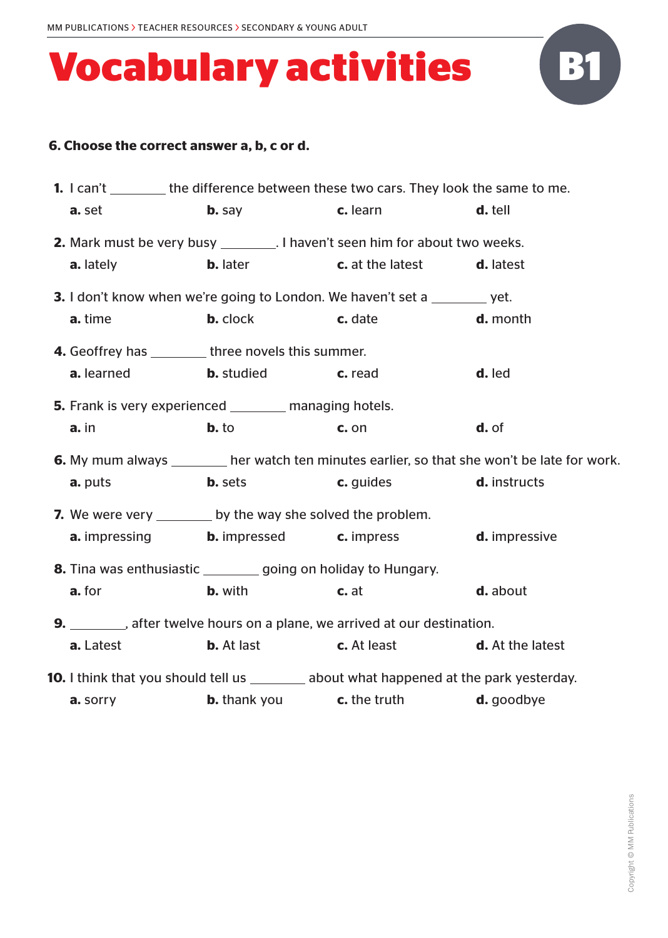

| <b>1.</b> I can't _________ the difference between these two cars. They look the same to me.   |                                                                                                                                                                                                                                     |                                                                                                      |                                                                                                     |  |
|------------------------------------------------------------------------------------------------|-------------------------------------------------------------------------------------------------------------------------------------------------------------------------------------------------------------------------------------|------------------------------------------------------------------------------------------------------|-----------------------------------------------------------------------------------------------------|--|
| a. set                                                                                         | <b>b.</b> say                                                                                                                                                                                                                       | c. learn                                                                                             | d. tell                                                                                             |  |
| <b>2.</b> Mark must be very busy _________. I haven't seen him for about two weeks.            |                                                                                                                                                                                                                                     |                                                                                                      |                                                                                                     |  |
| a. lately                                                                                      |                                                                                                                                                                                                                                     | <b>b.</b> later <b>c.</b> at the latest                                                              | d. latest                                                                                           |  |
|                                                                                                |                                                                                                                                                                                                                                     | 3. I don't know when we're going to London. We haven't set a _______ yet.                            |                                                                                                     |  |
| a. time                                                                                        | <b>b.</b> clock                                                                                                                                                                                                                     | c. date                                                                                              | d. month                                                                                            |  |
| <b>4.</b> Geoffrey has __________ three novels this summer.                                    |                                                                                                                                                                                                                                     |                                                                                                      |                                                                                                     |  |
| <b>a.</b> learned <b>b.</b> studied                                                            | <b>C.</b> read                                                                                                                                                                                                                      |                                                                                                      | d. led                                                                                              |  |
| <b>5.</b> Frank is very experienced _________ managing hotels.                                 |                                                                                                                                                                                                                                     |                                                                                                      |                                                                                                     |  |
| a. in                                                                                          | $b.$ to                                                                                                                                                                                                                             | c. on                                                                                                | d. of                                                                                               |  |
|                                                                                                |                                                                                                                                                                                                                                     |                                                                                                      | <b>6.</b> My mum always ________ her watch ten minutes earlier, so that she won't be late for work. |  |
| a. puts                                                                                        | <b>b.</b> sets and the set of the set of the set of the set of the set of the set of the set of the set of the set of the set of the set of the set of the set of the set of the set of the set of the set of the set of the set of | c. guides and the set of the set of the set of the set of the set of the set of the set of the set o | d. instructs                                                                                        |  |
| 7. We were very _________ by the way she solved the problem.                                   |                                                                                                                                                                                                                                     |                                                                                                      |                                                                                                     |  |
|                                                                                                |                                                                                                                                                                                                                                     | <b>a.</b> impressing <b>b.</b> impressed <b>c.</b> impress                                           | d. impressive                                                                                       |  |
| 8. Tina was enthusiastic _________ going on holiday to Hungary.                                |                                                                                                                                                                                                                                     |                                                                                                      |                                                                                                     |  |
| a. for                                                                                         | <b>b.</b> with the same state of the state of the state of the state of the state of the state of the state of the state of the state of the state of the state of the state of the state of the state of the state of the state of | c. at                                                                                                | d. about                                                                                            |  |
| <b>9.</b> _________, after twelve hours on a plane, we arrived at our destination.             |                                                                                                                                                                                                                                     |                                                                                                      |                                                                                                     |  |
| a. Latest                                                                                      |                                                                                                                                                                                                                                     | <b>b.</b> At last <b>c.</b> At least                                                                 | <b>d.</b> At the latest                                                                             |  |
| <b>10.</b> I think that you should tell us ________ about what happened at the park yesterday. |                                                                                                                                                                                                                                     |                                                                                                      |                                                                                                     |  |
| a. sorry                                                                                       |                                                                                                                                                                                                                                     | <b>b.</b> thank you <b>c.</b> the truth                                                              | d. goodbye                                                                                          |  |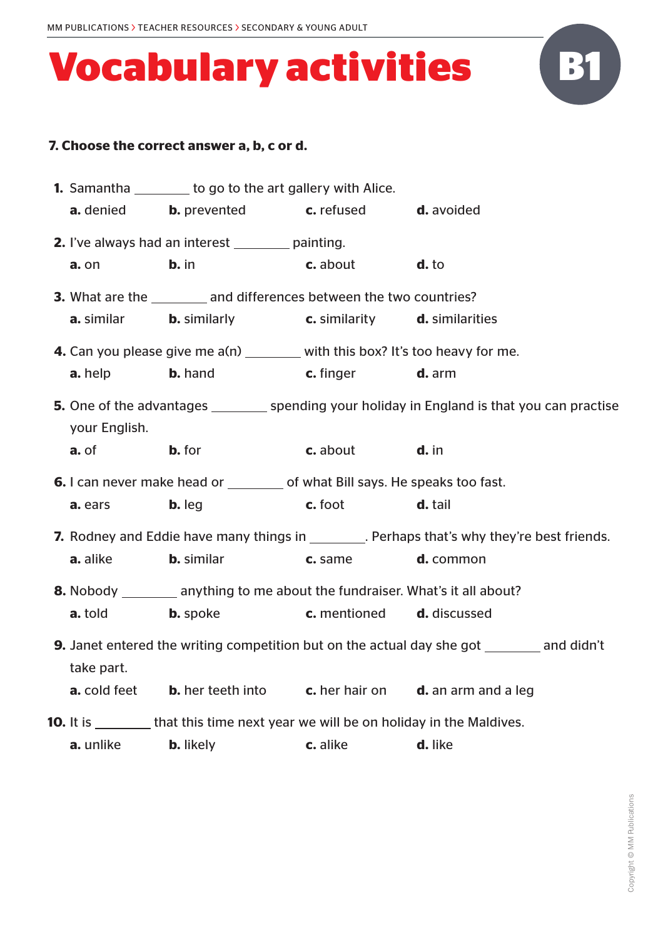|                                                                                                   | <b>1.</b> Samantha _________ to go to the art gallery with Alice.                             |                                         |                                                                                               |  |
|---------------------------------------------------------------------------------------------------|-----------------------------------------------------------------------------------------------|-----------------------------------------|-----------------------------------------------------------------------------------------------|--|
| <b>a.</b> denied <b>b.</b> prevented                                                              |                                                                                               | <b>c.</b> refused                       | d. avoided                                                                                    |  |
|                                                                                                   | <b>2.</b> I've always had an interest <u>entity</u> painting.                                 |                                         |                                                                                               |  |
| a. on                                                                                             | $b.$ in                                                                                       | c. about                                | d. to                                                                                         |  |
|                                                                                                   | <b>3.</b> What are the _________ and differences between the two countries?                   |                                         |                                                                                               |  |
| a. similar                                                                                        | <b>b.</b> similarly <b>c.</b> similarity <b>d.</b> similarities                               |                                         |                                                                                               |  |
|                                                                                                   | 4. Can you please give me a(n) _______ with this box? It's too heavy for me.                  |                                         |                                                                                               |  |
| a. help                                                                                           | <b>b.</b> hand<br><b>C.</b> finger                                                            |                                         | <b>d.</b> arm                                                                                 |  |
|                                                                                                   |                                                                                               |                                         | 5. One of the advantages __________ spending your holiday in England is that you can practise |  |
| your English.                                                                                     |                                                                                               |                                         |                                                                                               |  |
| a. of                                                                                             | <b>b.</b> for                                                                                 | <b>c.</b> about <b>d.</b> in            |                                                                                               |  |
|                                                                                                   | <b>6.</b> I can never make head or __________ of what Bill says. He speaks too fast.          |                                         |                                                                                               |  |
| a. ears                                                                                           | $b. leg$                                                                                      | $c.$ foot                               | d. tail                                                                                       |  |
| 7. Rodney and Eddie have many things in _________. Perhaps that's why they're best friends.       |                                                                                               |                                         |                                                                                               |  |
| a. alike                                                                                          | <b>b.</b> similar                                                                             | c. same                                 | d. common                                                                                     |  |
|                                                                                                   | 8. Nobody __________ anything to me about the fundraiser. What's it all about?                |                                         |                                                                                               |  |
| <b>a.</b> told                                                                                    | <b>b.</b> spoke                                                                               | <b>c.</b> mentioned <b>d.</b> discussed |                                                                                               |  |
| <b>9.</b> Janet entered the writing competition but on the actual day she got ________ and didn't |                                                                                               |                                         |                                                                                               |  |
| take part.                                                                                        |                                                                                               |                                         |                                                                                               |  |
|                                                                                                   | <b>a.</b> cold feet <b>b.</b> her teeth into <b>c.</b> her hair on <b>d.</b> an arm and a leg |                                         |                                                                                               |  |
|                                                                                                   | <b>10.</b> It is _________ that this time next year we will be on holiday in the Maldives.    |                                         |                                                                                               |  |
| a. unlike                                                                                         | <b>b.</b> likely                                                                              | c. alike                                | d. like                                                                                       |  |